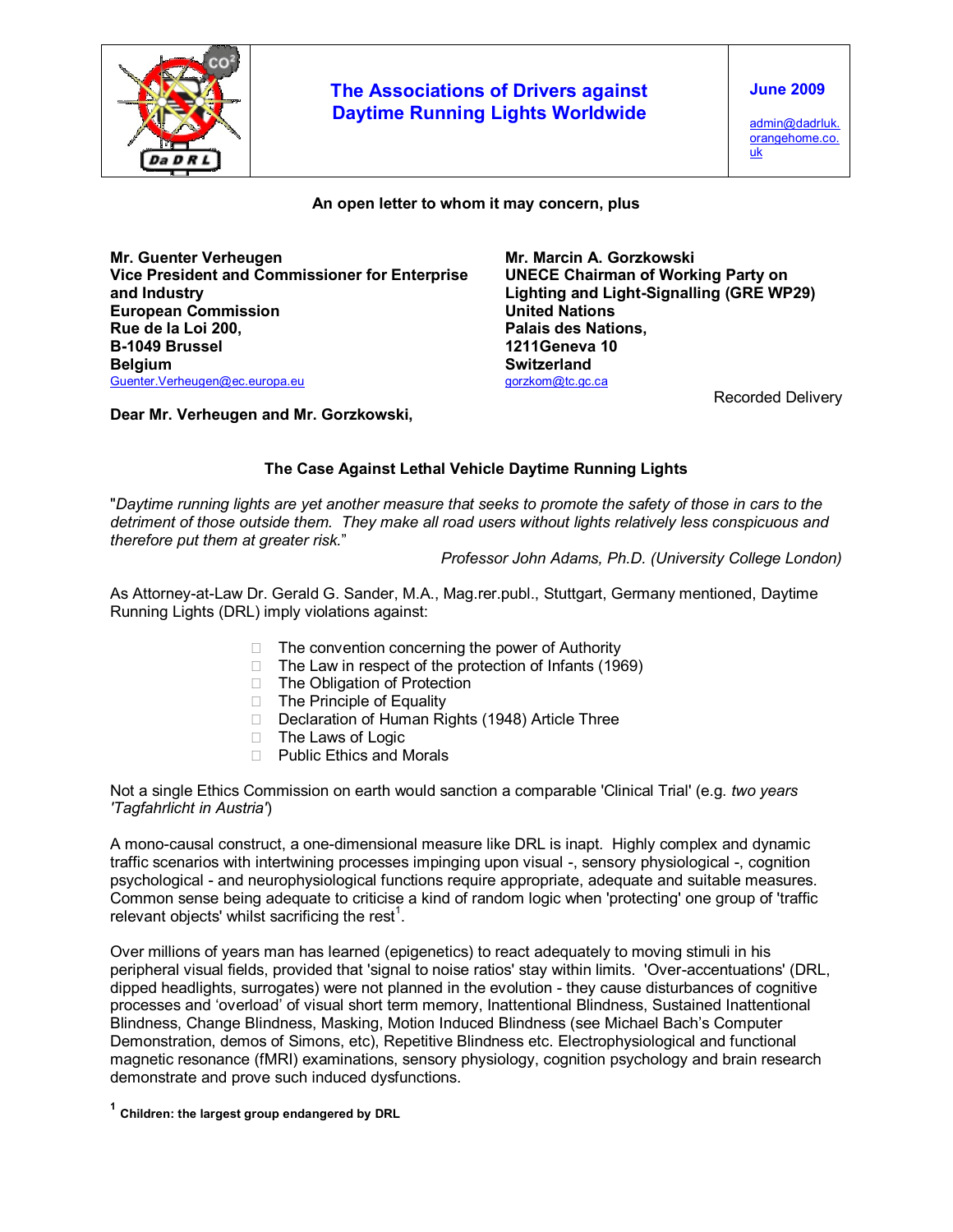

**The Associations of Drivers against Daytime Running Lights Worldwide**

[admin@dadrluk.](mailto:admin@dadrluk.orangehome.co.uk) [orangehome.co.](mailto:admin@dadrluk.orangehome.co.uk) [uk](mailto:admin@dadrluk.orangehome.co.uk)

**An open letter to whom it may concern, plus**

**Mr. Guenter Verheugen Mr. Marcin A. Gorzkowski Vice President and Commissioner for Enterprise and Industry European Commission United Nations Rue de la Loi 200, Palais des Nations, B-1049 Brussel 1211Geneva 10 Belgium Switzerland** [Guenter.Verheugen@ec.europa.eu](mailto:Guenter.Verheugen@ec.europa.eu) [gorzkom@tc.gc.ca](mailto:gorzkom@tc.gc.ca)

**UNECE Chairman of Working Party on Lighting and Light-Signalling (GRE WP29)**

Recorded Delivery

**Dear Mr. Verheugen and Mr. Gorzkowski,**

# **The Case Against Lethal Vehicle Daytime Running Lights**

"*Daytime running lights are yet another measure that seeks to promote the safety of those in cars to the detriment of those outside them. They make all road users without lights relatively less conspicuous and therefore put them at greater risk.*"

*Professor John Adams, Ph.D. (University College London)*

As Attorney-at-Law Dr. Gerald G. Sander, M.A., Mag.rer.publ., Stuttgart, Germany mentioned, Daytime Running Lights (DRL) imply violations against:

- $\Box$  The convention concerning the power of Authority
- $\Box$  The Law in respect of the protection of Infants (1969)
- □ The Obligation of Protection
- $\Box$  The Principle of Equality
- D Declaration of Human Rights (1948) Article Three
- □ The Laws of Logic
- □ Public Ethics and Morals

Not a single Ethics Commission on earth would sanction a comparable 'Clinical Trial' (e.g. *two years 'Tagfahrlicht in Austria'*)

A mono-causal construct, a one-dimensional measure like DRL is inapt. Highly complex and dynamic traffic scenarios with intertwining processes impinging upon visual -, sensory physiological -, cognition psychological - and neurophysiological functions require appropriate, adequate and suitable measures. Common sense being adequate to criticise a kind of random logic when 'protecting' one group of 'traffic relevant objects' whilst sacrificing the rest $^1$ .

Over millions of years man has learned (epigenetics) to react adequately to moving stimuli in his peripheral visual fields, provided that 'signal to noise ratios' stay within limits. 'Over-accentuations' (DRL, dipped headlights, surrogates) were not planned in the evolution - they cause disturbances of cognitive processes and 'overload' of visual short term memory, Inattentional Blindness, Sustained Inattentional Blindness, Change Blindness, Masking, Motion Induced Blindness (see Michael Bach's Computer Demonstration, demos of Simons, etc), Repetitive Blindness etc. Electrophysiological and functional magnetic resonance (fMRI) examinations, sensory physiology, cognition psychology and brain research demonstrate and prove such induced dysfunctions.

**<sup>1</sup> Children: the largest group endangered by DRL**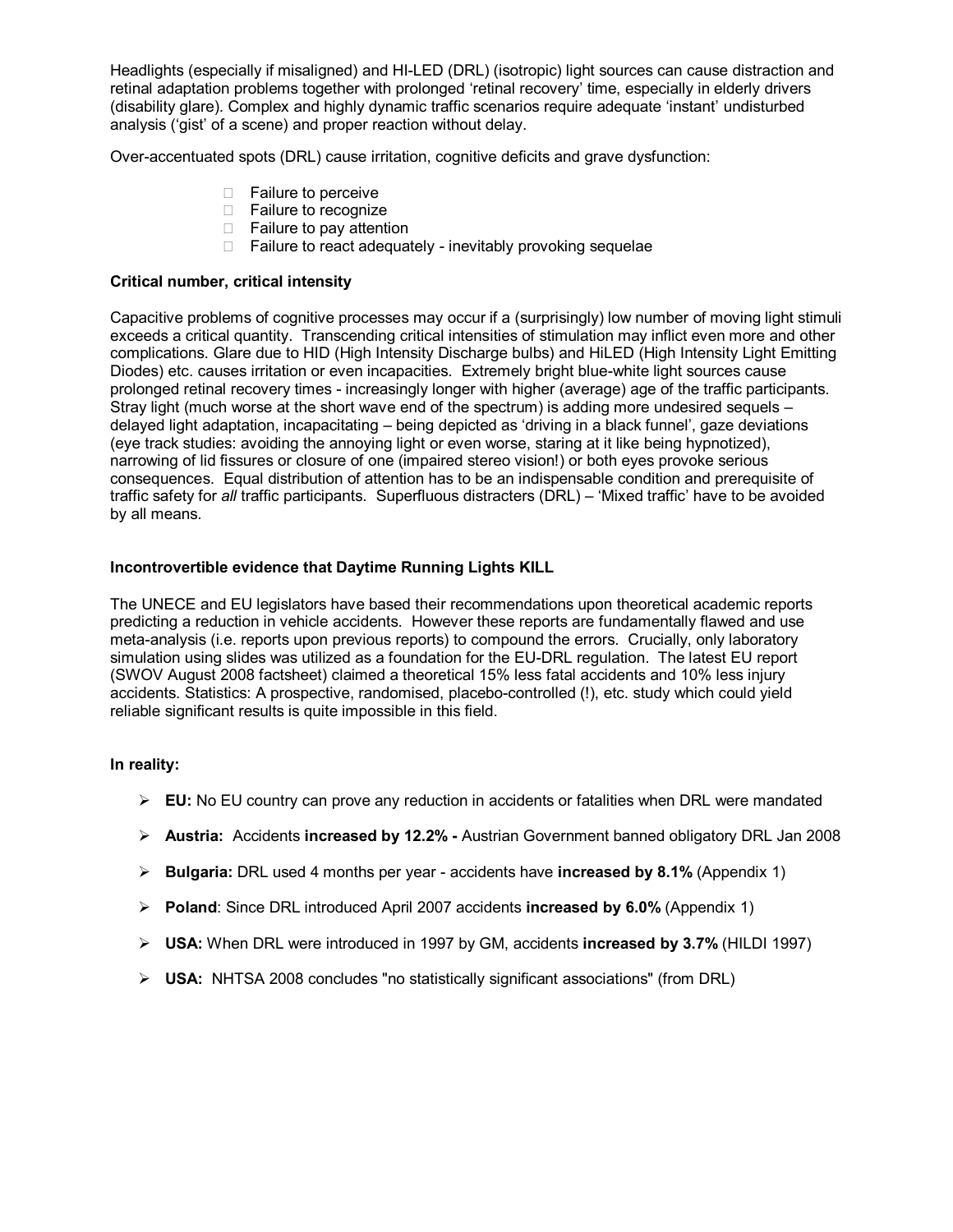Headlights (especially if misaligned) and HI-LED (DRL) (isotropic) light sources can cause distraction and retinal adaptation problems together with prolonged 'retinal recovery' time, especially in elderly drivers (disability glare). Complex and highly dynamic traffic scenarios require adequate 'instant' undisturbed analysis ('gist' of a scene) and proper reaction without delay.

Over-accentuated spots (DRL) cause irritation, cognitive deficits and grave dysfunction:

- $\Box$  Failure to perceive
- □ Failure to recognize
- $\Box$  Failure to pay attention
- $\Box$  Failure to react adequately inevitably provoking sequelae

### **Critical number, critical intensity**

Capacitive problems of cognitive processes may occur if a (surprisingly) low number of moving light stimuli exceeds a critical quantity. Transcending critical intensities of stimulation may inflict even more and other complications. Glare due to HID (High Intensity Discharge bulbs) and HiLED (High Intensity Light Emitting Diodes) etc. causes irritation or even incapacities. Extremely bright blue-white light sources cause prolonged retinal recovery times - increasingly longer with higher (average) age of the traffic participants. Stray light (much worse at the short wave end of the spectrum) is adding more undesired sequels – delayed light adaptation, incapacitating – being depicted as 'driving in a black funnel', gaze deviations (eye track studies: avoiding the annoying light or even worse, staring at it like being hypnotized), narrowing of lid fissures or closure of one (impaired stereo vision!) or both eyes provoke serious consequences. Equal distribution of attention has to be an indispensable condition and prerequisite of traffic safety for *all* traffic participants. Superfluous distracters (DRL) – 'Mixed traffic' have to be avoided by all means.

#### **Incontrovertible evidence that Daytime Running Lights KILL**

The UNECE and EU legislators have based their recommendations upon theoretical academic reports predicting a reduction in vehicle accidents. However these reports are fundamentally flawed and use meta-analysis (i.e. reports upon previous reports) to compound the errors. Crucially, only laboratory simulation using slides was utilized as a foundation for the EU-DRL regulation. The latest EU report (SWOV August 2008 factsheet) claimed a theoretical 15% less fatal accidents and 10% less injury accidents. Statistics: A prospective, randomised, placebo-controlled (!), etc. study which could yield reliable significant results is quite impossible in this field.

#### **In reality:**

- **EU:** No EU country can prove any reduction in accidents or fatalities when DRL were mandated
- **Austria:** Accidents **increased by 12.2% -** Austrian Government banned obligatory DRL Jan 2008
- **Bulgaria:** DRL used 4 months per year accidents have **increased by 8.1%** (Appendix 1)
- **Poland**: Since DRL introduced April 2007 accidents **increased by 6.0%** (Appendix 1)
- **USA:** When DRL were introduced in 1997 by GM, accidents **increased by 3.7%** (HILDI 1997)
- **USA:** NHTSA 2008 concludes "no statistically significant associations" (from DRL)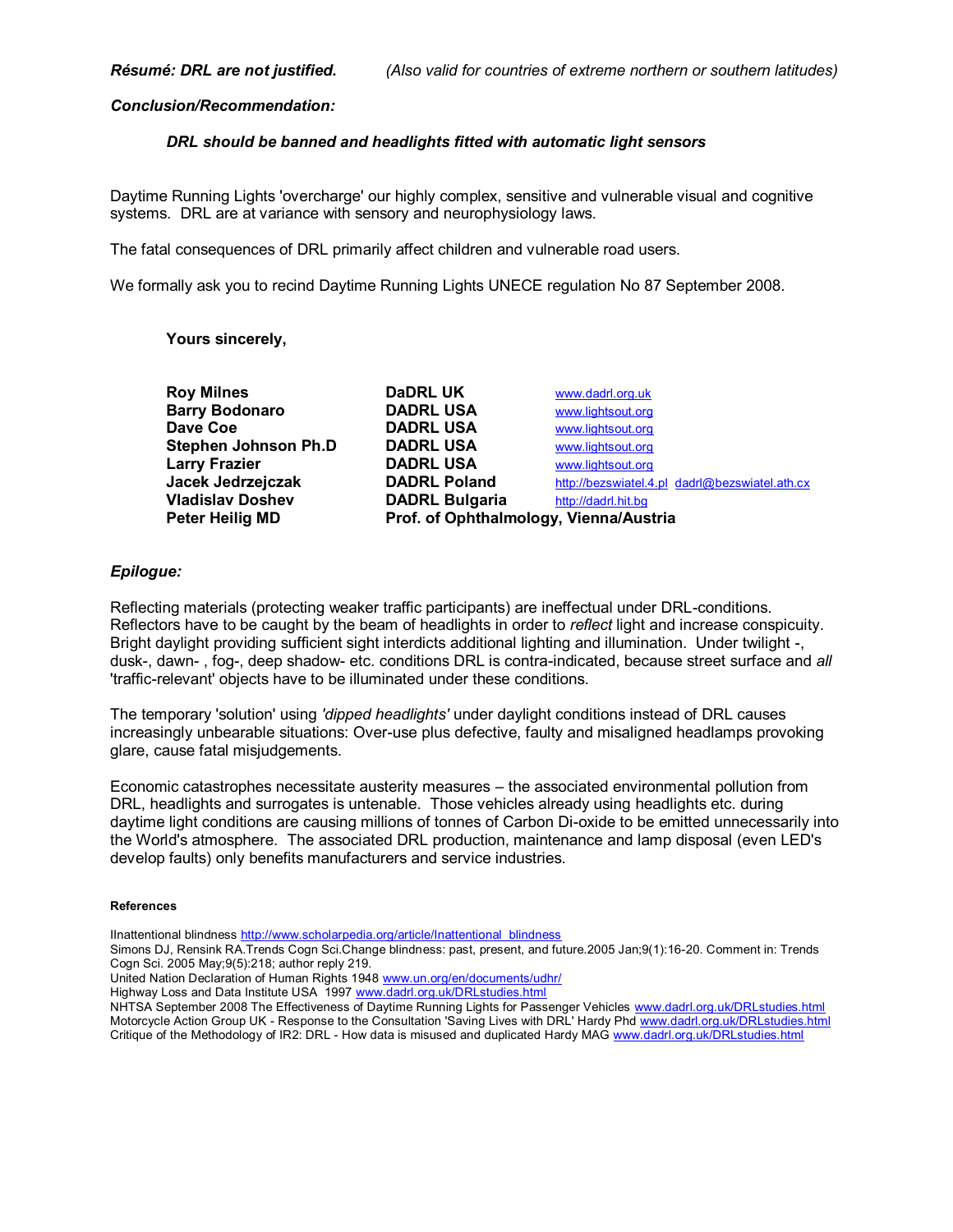#### *Conclusion/Recommendation:*

#### *DRL should be banned and headlights fitted with automatic light sensors*

Daytime Running Lights 'overcharge' our highly complex, sensitive and vulnerable visual and cognitive systems. DRL are at variance with sensory and neurophysiology laws.

The fatal consequences of DRL primarily affect children and vulnerable road users.

We formally ask you to recind Daytime Running Lights UNECE regulation No 87 September 2008.

#### **Yours sincerely,**

| <b>Roy Milnes</b>       | <b>DaDRL UK</b>                        | www.dadrl.org.uk                               |
|-------------------------|----------------------------------------|------------------------------------------------|
| <b>Barry Bodonaro</b>   | <b>DADRL USA</b>                       | www.lightsout.org                              |
| Dave Coe                | <b>DADRL USA</b>                       | www.lightsout.org                              |
| Stephen Johnson Ph.D    | <b>DADRL USA</b>                       | www.lightsout.org                              |
| <b>Larry Frazier</b>    | <b>DADRL USA</b>                       | www.lightsout.org                              |
| Jacek Jedrzejczak       | <b>DADRL Poland</b>                    | http://bezswiatel.4.pl dadrl@bezswiatel.ath.cx |
| <b>Vladislav Doshev</b> | <b>DADRL Bulgaria</b>                  | http://dadrl.hit.bq                            |
| Peter Heilig MD         | Prof. of Ophthalmology, Vienna/Austria |                                                |
|                         |                                        |                                                |

## *Epilogue:*

Reflecting materials (protecting weaker traffic participants) are ineffectual under DRL-conditions. Reflectors have to be caught by the beam of headlights in order to *reflect* light and increase conspicuity. Bright daylight providing sufficient sight interdicts additional lighting and illumination. Under twilight -, dusk-, dawn- , fog-, deep shadow- etc. conditions DRL is contra-indicated, because street surface and *all* 'traffic-relevant' objects have to be illuminated under these conditions.

The temporary 'solution' using *'dipped headlights'* under daylight conditions instead of DRL causes increasingly unbearable situations: Over-use plus defective, faulty and misaligned headlamps provoking glare, cause fatal misjudgements.

Economic catastrophes necessitate austerity measures – the associated environmental pollution from DRL, headlights and surrogates is untenable. Those vehicles already using headlights etc. during daytime light conditions are causing millions of tonnes of Carbon Di-oxide to be emitted unnecessarily into the World's atmosphere. The associated DRL production, maintenance and lamp disposal (even LED's develop faults) only benefits manufacturers and service industries.

#### **References**

IInattentional blindness [http://www.scholarpedia.org/article/Inattentional\\_blindness](http://www.scholarpedia.org/article/Inattentional_blindness)

Simons DJ, Rensink RA.Trends Cogn Sci.Change blindness: past, present, and future.2005 Jan;9(1):16-20. Comment in: Trends Cogn Sci. 2005 May;9(5):218; author reply 219.

United Nation Declaration of Human Rights 1948 [www.un.org/en/documents/udhr/](http://www.un.org/en/documents/udhr/)

Highway Loss and Data Institute USA 1997 [www.dadrl.org.uk/DRLstudies.html](http://www.dadrl.org.uk/DRLstudies.html)

NHTSA September 2008 The Effectiveness of Daytime Running Lights for Passenger Vehicles [www.dadrl.org.uk/DRLstudies.html](http://www.dadrl.org.uk/DRLstudies.html) Motorcycle Action Group UK - Response to the Consultation 'Saving Lives with DRL' Hardy Phd [www.dadrl.org.uk/DRLstudies.html](http://www.dadrl.org.uk/DRLstudies.html) Critique of the Methodology of IR2: DRL - How data is misused and duplicated Hardy MAG [www.dadrl.org.uk/DRLstudies.html](http://www.dadrl.org.uk/DRLstudies.html)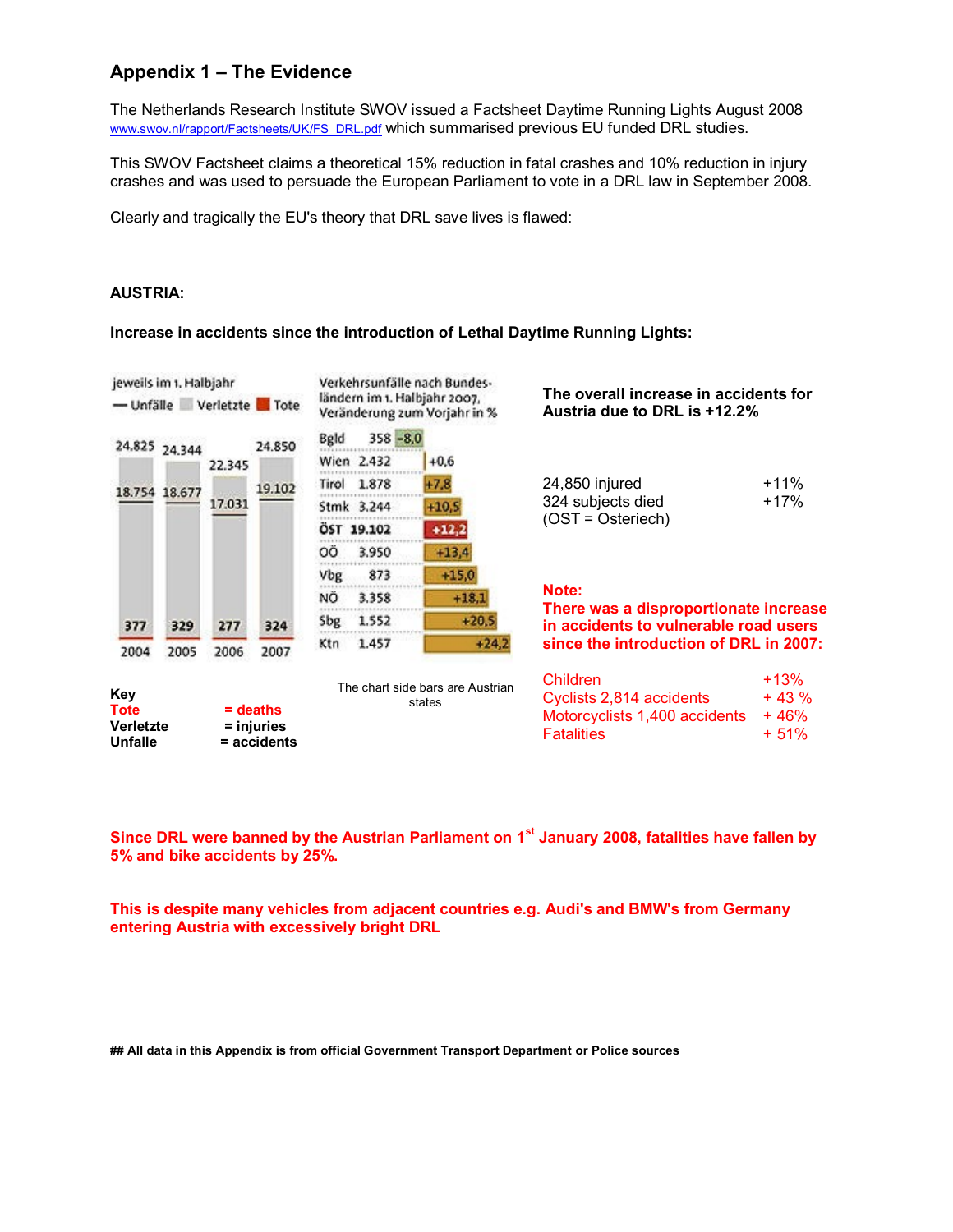# **Appendix 1 – The Evidence**

The Netherlands Research Institute SWOV issued a Factsheet Daytime Running Lights August 2008 [www.swov.nl/rapport/Factsheets/UK/FS\\_DRL.pdf](http://www.swov.nl/rapport/Factsheets/UK/FS_DRL.pdf) which summarised previous EU funded DRL studies.

This SWOV Factsheet claims a theoretical 15% reduction in fatal crashes and 10% reduction in injury crashes and was used to persuade the European Parliament to vote in a DRL law in September 2008.

Clearly and tragically the EU's theory that DRL save lives is flawed:

## **AUSTRIA:**

# **Increase in accidents since the introduction of Lethal Daytime Running Lights:**

| jeweils im 1. Halbjahr<br>Verletzte Tote<br>— Unfälle                                          |             |                                            |             | Verkehrsunfälle nach Bundes-<br>ländern im 1. Halbjahr 2007,<br>Veränderung zum Vorjahr in % |                                                                                            |                                          | The overall increase in accidents for<br>Austria due to DRL is +12.2%                                                             |              |
|------------------------------------------------------------------------------------------------|-------------|--------------------------------------------|-------------|----------------------------------------------------------------------------------------------|--------------------------------------------------------------------------------------------|------------------------------------------|-----------------------------------------------------------------------------------------------------------------------------------|--------------|
| 24.825 24.344                                                                                  |             | 22.345                                     | 24.850      | Bgld                                                                                         | $358 - 8.0$<br>Wien 2.432                                                                  | $+0.6$                                   |                                                                                                                                   |              |
| 18.754 18.677                                                                                  |             | 17.031                                     | 19.102      | Tirol<br>oo                                                                                  | 1.878<br>Stmk 3.244<br>OST 19.102<br>3.950                                                 | $+7,8$<br>$+10,5$<br>$+12,2$<br>$+13,4$  | 24,850 injured<br>324 subjects died<br>(OST = Osteriech)                                                                          | +11%<br>+17% |
| 377<br>2004                                                                                    | 329<br>2005 | 277<br>2006                                | 324<br>2007 | Vbg<br>ΝÕ<br>Sbg<br>Ktn                                                                      | 873<br>3,358<br>1.552<br>1.457                                                             | $+15,0$<br>$+18.1$<br>$+20,5$<br>$+24,2$ | Note:<br>There was a disproportionate increase<br>in accidents to vulnerable road users<br>since the introduction of DRL in 2007: |              |
| Key<br>Tote<br>$=$ deaths<br><b>Verletzte</b><br>= injuries<br><b>Unfalle</b><br>$=$ accidents |             | The chart side bars are Austrian<br>states |             |                                                                                              | Children<br>Cyclists 2,814 accidents<br>Motorcyclists 1,400 accidents<br><b>Fatalities</b> | $+13%$<br>$+43%$<br>$+46%$<br>+ 51%      |                                                                                                                                   |              |

**Since DRL were banned by the Austrian Parliament on 1st January 2008, fatalities have fallen by 5% and bike accidents by 25%.**

**This is despite many vehicles from adjacent countries e.g. Audi's and BMW's from Germany entering Austria with excessively bright DRL**

**## All data in this Appendix is from official Government Transport Department or Police sources**